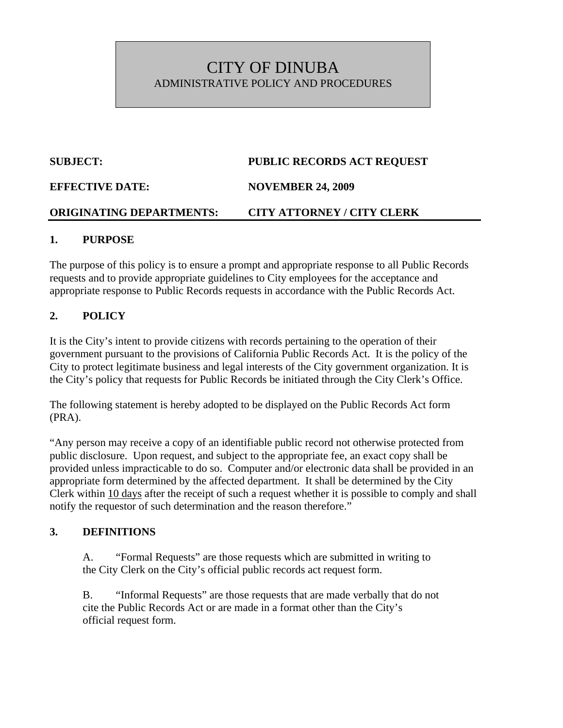## CITY OF DINUBA ADMINISTRATIVE POLICY AND PROCEDURES

# **SUBJECT: PUBLIC RECORDS ACT REQUEST EFFECTIVE DATE: NOVEMBER 24, 2009**

#### **ORIGINATING DEPARTMENTS: CITY ATTORNEY / CITY CLERK**

#### **1. PURPOSE**

The purpose of this policy is to ensure a prompt and appropriate response to all Public Records requests and to provide appropriate guidelines to City employees for the acceptance and appropriate response to Public Records requests in accordance with the Public Records Act.

#### **2. POLICY**

It is the City's intent to provide citizens with records pertaining to the operation of their government pursuant to the provisions of California Public Records Act. It is the policy of the City to protect legitimate business and legal interests of the City government organization. It is the City's policy that requests for Public Records be initiated through the City Clerk's Office.

The following statement is hereby adopted to be displayed on the Public Records Act form (PRA).

"Any person may receive a copy of an identifiable public record not otherwise protected from public disclosure. Upon request, and subject to the appropriate fee, an exact copy shall be provided unless impracticable to do so. Computer and/or electronic data shall be provided in an appropriate form determined by the affected department. It shall be determined by the City Clerk within 10 days after the receipt of such a request whether it is possible to comply and shall notify the requestor of such determination and the reason therefore."

#### **3. DEFINITIONS**

A. "Formal Requests" are those requests which are submitted in writing to the City Clerk on the City's official public records act request form.

B. "Informal Requests" are those requests that are made verbally that do not cite the Public Records Act or are made in a format other than the City's official request form.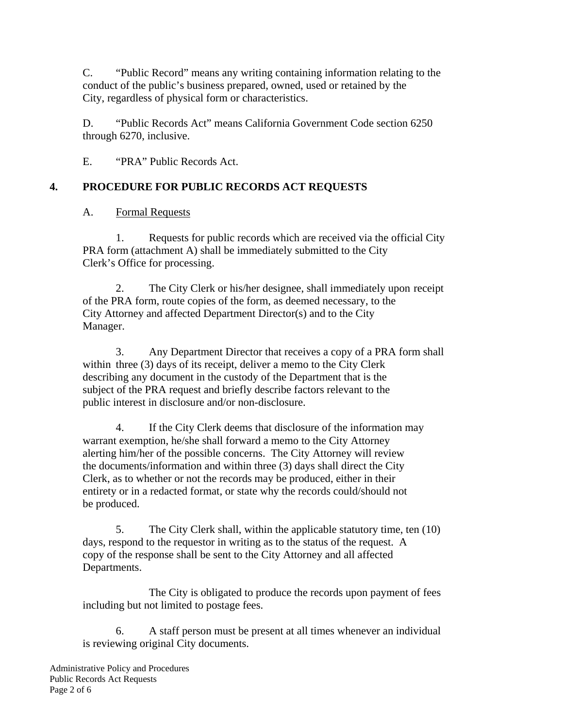C. "Public Record" means any writing containing information relating to the conduct of the public's business prepared, owned, used or retained by the City, regardless of physical form or characteristics.

D. "Public Records Act" means California Government Code section 6250 through 6270, inclusive.

E. "PRA" Public Records Act.

#### **4. PROCEDURE FOR PUBLIC RECORDS ACT REQUESTS**

#### A. Formal Requests

1. Requests for public records which are received via the official City PRA form (attachment A) shall be immediately submitted to the City Clerk's Office for processing.

2. The City Clerk or his/her designee, shall immediately upon receipt of the PRA form, route copies of the form, as deemed necessary, to the City Attorney and affected Department Director(s) and to the City Manager.

3. Any Department Director that receives a copy of a PRA form shall within three (3) days of its receipt, deliver a memo to the City Clerk describing any document in the custody of the Department that is the subject of the PRA request and briefly describe factors relevant to the public interest in disclosure and/or non-disclosure.

4. If the City Clerk deems that disclosure of the information may warrant exemption, he/she shall forward a memo to the City Attorney alerting him/her of the possible concerns. The City Attorney will review the documents/information and within three (3) days shall direct the City Clerk, as to whether or not the records may be produced, either in their entirety or in a redacted format, or state why the records could/should not be produced.

5. The City Clerk shall, within the applicable statutory time, ten (10) days, respond to the requestor in writing as to the status of the request. A copy of the response shall be sent to the City Attorney and all affected Departments.

 The City is obligated to produce the records upon payment of fees including but not limited to postage fees.

6. A staff person must be present at all times whenever an individual is reviewing original City documents.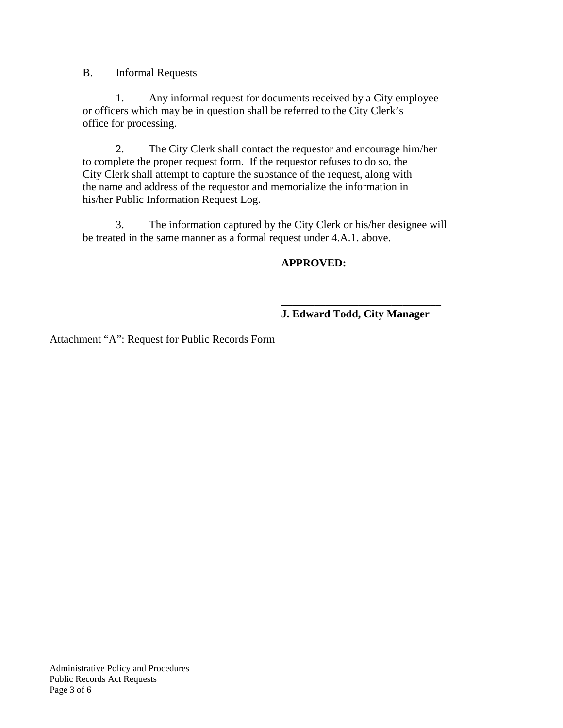#### B. Informal Requests

1. Any informal request for documents received by a City employee or officers which may be in question shall be referred to the City Clerk's office for processing.

2. The City Clerk shall contact the requestor and encourage him/her to complete the proper request form. If the requestor refuses to do so, the City Clerk shall attempt to capture the substance of the request, along with the name and address of the requestor and memorialize the information in his/her Public Information Request Log.

3. The information captured by the City Clerk or his/her designee will be treated in the same manner as a formal request under 4.A.1. above.

#### **APPROVED:**

#### **\_\_\_\_\_\_\_\_\_\_\_\_\_\_\_\_\_\_\_\_\_\_\_\_\_\_\_\_\_ J. Edward Todd, City Manager**

Attachment "A": Request for Public Records Form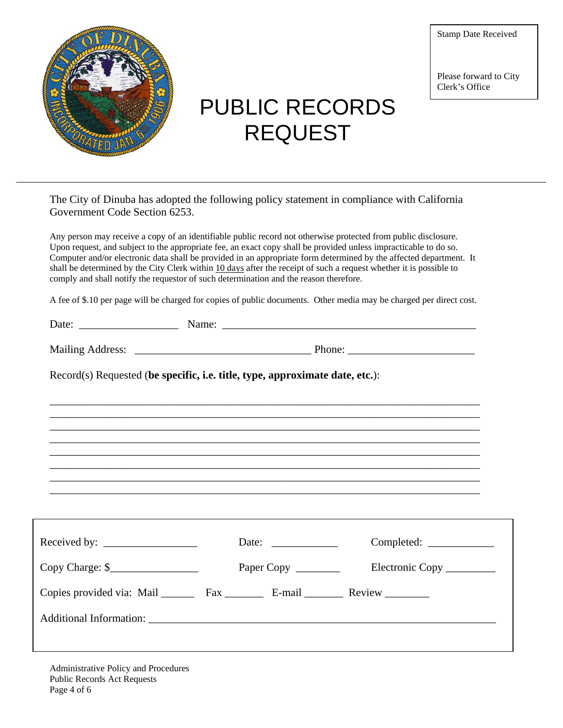

# PUBLIC RECORDS REQUEST

Stamp Date Received

Please forward to City Clerk's Office

| The City of Dinuba has adopted the following policy statement in compliance with California |  |
|---------------------------------------------------------------------------------------------|--|
| Government Code Section 6253.                                                               |  |

Any person may receive a copy of an identifiable public record not otherwise protected from public disclosure. Upon request, and subject to the appropriate fee, an exact copy shall be provided unless impracticable to do so. Computer and/or electronic data shall be provided in an appropriate form determined by the affected department. It shall be determined by the City Clerk within 10 days after the receipt of such a request whether it is possible to comply and shall notify the requestor of such determination and the reason therefore.

A fee of \$.10 per page will be charged for copies of public documents. Other media may be charged per direct cost.

| $\sim$<br>$- \cdot -$ |  |
|-----------------------|--|
|                       |  |

| <b>Mailing Address:</b> |  |
|-------------------------|--|
|                         |  |

\_\_\_\_\_\_\_\_\_\_\_\_\_\_\_\_\_\_\_\_\_\_\_\_\_\_\_\_\_\_\_\_\_\_\_\_\_\_\_\_\_\_\_\_\_\_\_\_\_\_\_\_\_\_\_\_\_\_\_\_\_\_\_\_\_\_\_\_\_\_\_\_\_\_\_\_\_\_ \_\_\_\_\_\_\_\_\_\_\_\_\_\_\_\_\_\_\_\_\_\_\_\_\_\_\_\_\_\_\_\_\_\_\_\_\_\_\_\_\_\_\_\_\_\_\_\_\_\_\_\_\_\_\_\_\_\_\_\_\_\_\_\_\_\_\_\_\_\_\_\_\_\_\_\_\_\_ \_\_\_\_\_\_\_\_\_\_\_\_\_\_\_\_\_\_\_\_\_\_\_\_\_\_\_\_\_\_\_\_\_\_\_\_\_\_\_\_\_\_\_\_\_\_\_\_\_\_\_\_\_\_\_\_\_\_\_\_\_\_\_\_\_\_\_\_\_\_\_\_\_\_\_\_\_\_ \_\_\_\_\_\_\_\_\_\_\_\_\_\_\_\_\_\_\_\_\_\_\_\_\_\_\_\_\_\_\_\_\_\_\_\_\_\_\_\_\_\_\_\_\_\_\_\_\_\_\_\_\_\_\_\_\_\_\_\_\_\_\_\_\_\_\_\_\_\_\_\_\_\_\_\_\_\_ \_\_\_\_\_\_\_\_\_\_\_\_\_\_\_\_\_\_\_\_\_\_\_\_\_\_\_\_\_\_\_\_\_\_\_\_\_\_\_\_\_\_\_\_\_\_\_\_\_\_\_\_\_\_\_\_\_\_\_\_\_\_\_\_\_\_\_\_\_\_\_\_\_\_\_\_\_\_ \_\_\_\_\_\_\_\_\_\_\_\_\_\_\_\_\_\_\_\_\_\_\_\_\_\_\_\_\_\_\_\_\_\_\_\_\_\_\_\_\_\_\_\_\_\_\_\_\_\_\_\_\_\_\_\_\_\_\_\_\_\_\_\_\_\_\_\_\_\_\_\_\_\_\_\_\_\_ \_\_\_\_\_\_\_\_\_\_\_\_\_\_\_\_\_\_\_\_\_\_\_\_\_\_\_\_\_\_\_\_\_\_\_\_\_\_\_\_\_\_\_\_\_\_\_\_\_\_\_\_\_\_\_\_\_\_\_\_\_\_\_\_\_\_\_\_\_\_\_\_\_\_\_\_\_\_ \_\_\_\_\_\_\_\_\_\_\_\_\_\_\_\_\_\_\_\_\_\_\_\_\_\_\_\_\_\_\_\_\_\_\_\_\_\_\_\_\_\_\_\_\_\_\_\_\_\_\_\_\_\_\_\_\_\_\_\_\_\_\_\_\_\_\_\_\_\_\_\_\_\_\_\_\_\_

Record(s) Requested (**be specific, i.e. title, type, approximate date, etc.**):

|                  | $Complete: \_\_\_\_\_\_\_\_\_\_\_\_\_\_\_\_\_\_\_\_\_$<br>Date: $\frac{1}{\sqrt{1-\frac{1}{2}} \cdot \frac{1}{2}}$ |
|------------------|--------------------------------------------------------------------------------------------------------------------|
| $Copy Charge: §$ |                                                                                                                    |
|                  | Copies provided via: Mail Fax ________ E-mail Review                                                               |
|                  |                                                                                                                    |
|                  |                                                                                                                    |

Administrative Policy and Procedures Public Records Act Requests Page 4 of 6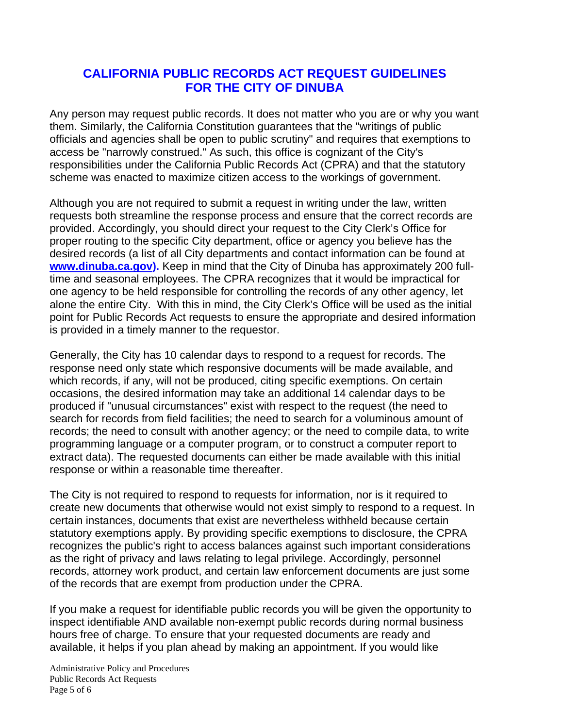### **CALIFORNIA PUBLIC RECORDS ACT REQUEST GUIDELINES FOR THE CITY OF DINUBA**

Any person may request public records. It does not matter who you are or why you want them. Similarly, the California Constitution guarantees that the "writings of public officials and agencies shall be open to public scrutiny" and requires that exemptions to access be "narrowly construed." As such, this office is cognizant of the City's responsibilities under the California Public Records Act (CPRA) and that the statutory scheme was enacted to maximize citizen access to the workings of government.

Although you are not required to submit a request in writing under the law, written requests both streamline the response process and ensure that the correct records are provided. Accordingly, you should direct your request to the City Clerk's Office for proper routing to the specific City department, office or agency you believe has the desired records (a list of all City departments and contact information can be found at **www.dinuba.ca.gov).** Keep in mind that the City of Dinuba has approximately 200 fulltime and seasonal employees. The CPRA recognizes that it would be impractical for one agency to be held responsible for controlling the records of any other agency, let alone the entire City. With this in mind, the City Clerk's Office will be used as the initial point for Public Records Act requests to ensure the appropriate and desired information is provided in a timely manner to the requestor.

Generally, the City has 10 calendar days to respond to a request for records. The response need only state which responsive documents will be made available, and which records, if any, will not be produced, citing specific exemptions. On certain occasions, the desired information may take an additional 14 calendar days to be produced if "unusual circumstances" exist with respect to the request (the need to search for records from field facilities; the need to search for a voluminous amount of records; the need to consult with another agency; or the need to compile data, to write programming language or a computer program, or to construct a computer report to extract data). The requested documents can either be made available with this initial response or within a reasonable time thereafter.

The City is not required to respond to requests for information, nor is it required to create new documents that otherwise would not exist simply to respond to a request. In certain instances, documents that exist are nevertheless withheld because certain statutory exemptions apply. By providing specific exemptions to disclosure, the CPRA recognizes the public's right to access balances against such important considerations as the right of privacy and laws relating to legal privilege. Accordingly, personnel records, attorney work product, and certain law enforcement documents are just some of the records that are exempt from production under the CPRA.

If you make a request for identifiable public records you will be given the opportunity to inspect identifiable AND available non-exempt public records during normal business hours free of charge. To ensure that your requested documents are ready and available, it helps if you plan ahead by making an appointment. If you would like

Administrative Policy and Procedures Public Records Act Requests Page 5 of 6